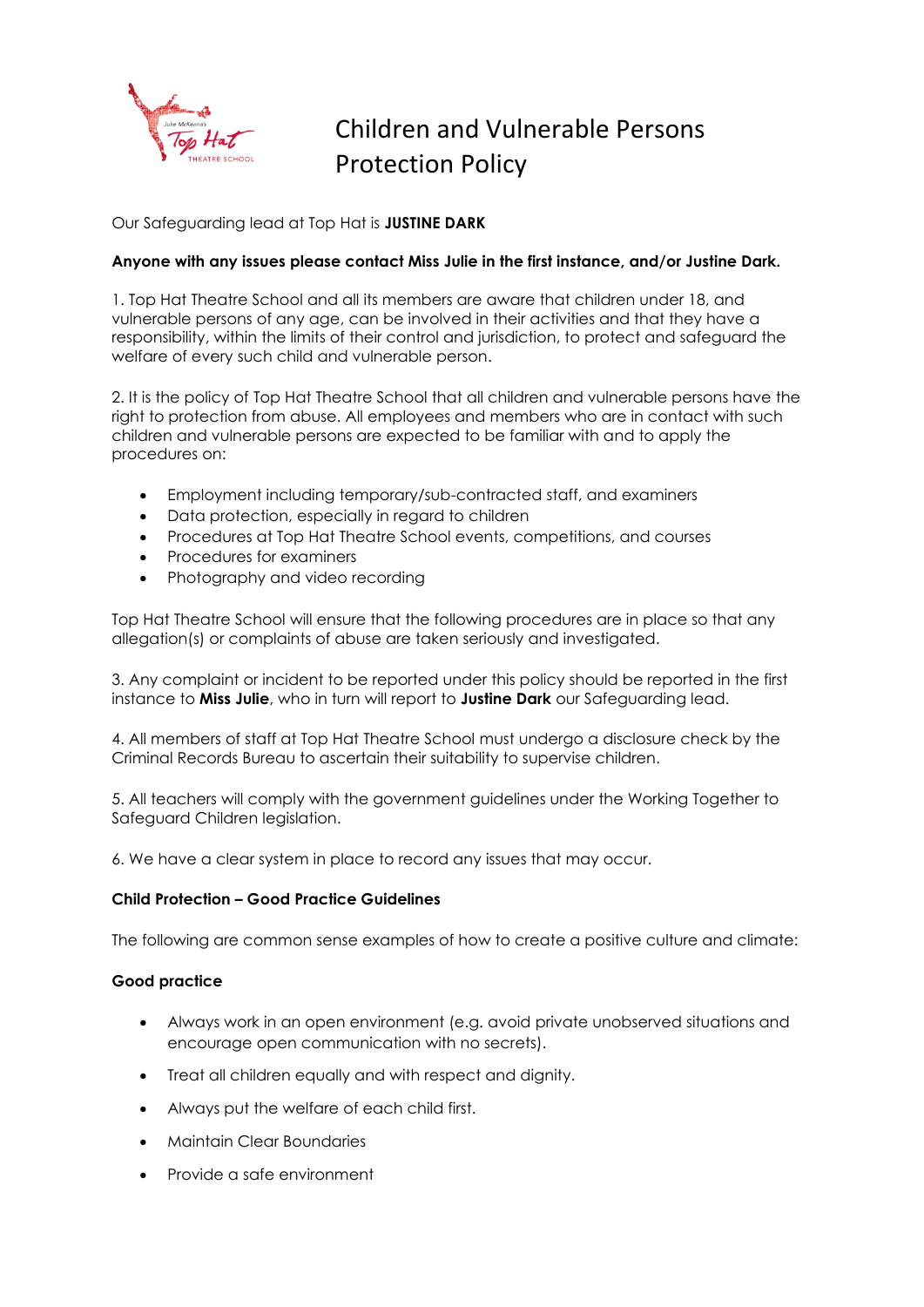

# Children and Vulnerable Persons Protection Policy

Our Safeguarding lead at Top Hat is **JUSTINE DARK**

## **Anyone with any issues please contact Miss Julie in the first instance, and/or Justine Dark.**

1. Top Hat Theatre School and all its members are aware that children under 18, and vulnerable persons of any age, can be involved in their activities and that they have a responsibility, within the limits of their control and jurisdiction, to protect and safeguard the welfare of every such child and vulnerable person.

2. It is the policy of Top Hat Theatre School that all children and vulnerable persons have the right to protection from abuse. All employees and members who are in contact with such children and vulnerable persons are expected to be familiar with and to apply the procedures on:

- Employment including temporary/sub-contracted staff, and examiners
- Data protection, especially in regard to children
- Procedures at Top Hat Theatre School events, competitions, and courses
- Procedures for examiners
- Photography and video recording

Top Hat Theatre School will ensure that the following procedures are in place so that any allegation(s) or complaints of abuse are taken seriously and investigated.

3. Any complaint or incident to be reported under this policy should be reported in the first instance to **Miss Julie**, who in turn will report to **Justine Dark** our Safeguarding lead.

4. All members of staff at Top Hat Theatre School must undergo a disclosure check by the Criminal Records Bureau to ascertain their suitability to supervise children.

5. All teachers will comply with the government guidelines under the Working Together to Safeguard Children legislation.

6. We have a clear system in place to record any issues that may occur.

## **Child Protection – Good Practice Guidelines**

The following are common sense examples of how to create a positive culture and climate:

## **Good practice**

- Always work in an open environment (e.g. avoid private unobserved situations and encourage open communication with no secrets).
- Treat all children equally and with respect and dignity.
- Always put the welfare of each child first.
- Maintain Clear Boundaries
- Provide a safe environment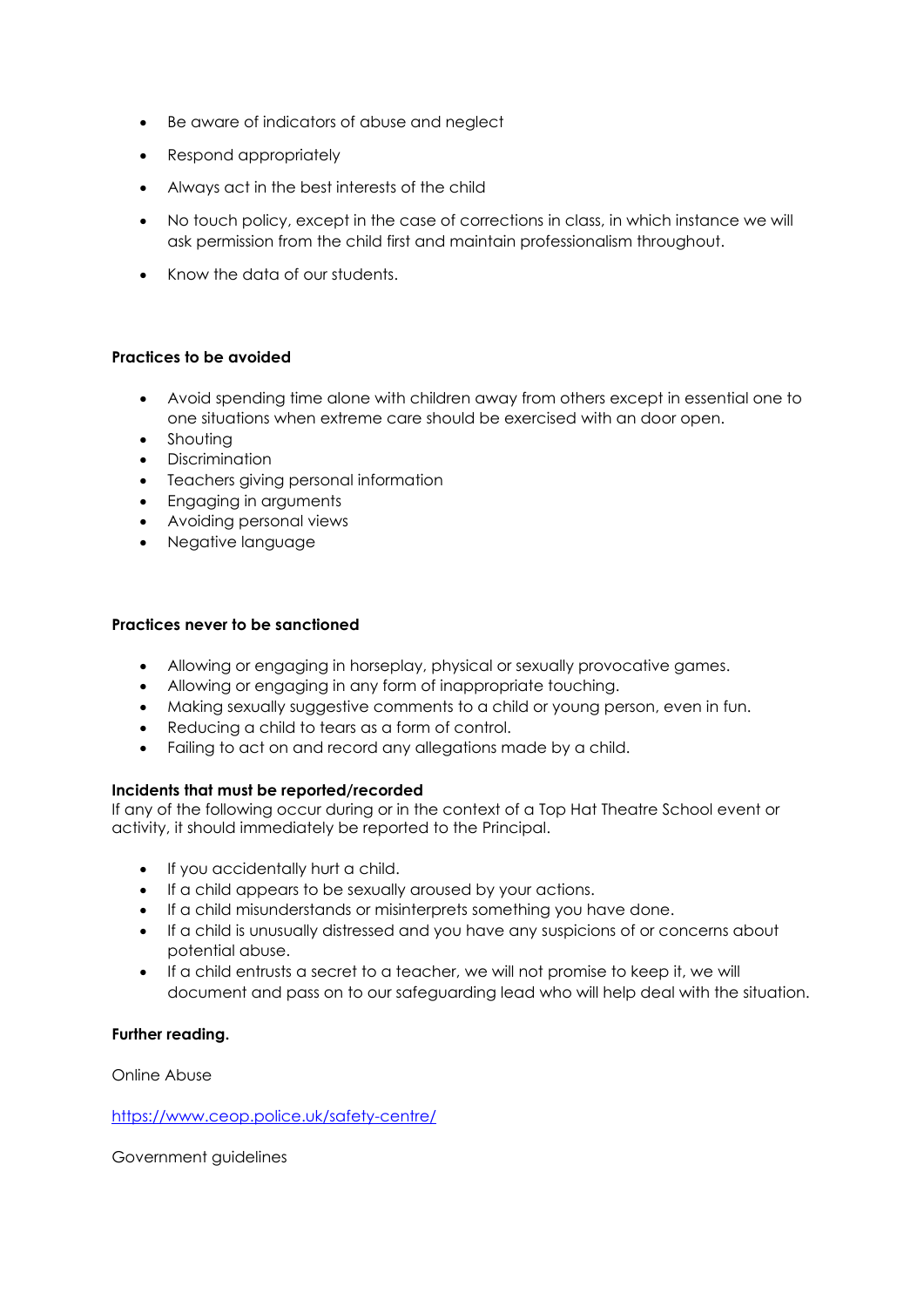- Be aware of indicators of abuse and neglect
- Respond appropriately
- Always act in the best interests of the child
- No touch policy, except in the case of corrections in class, in which instance we will ask permission from the child first and maintain professionalism throughout.
- Know the data of our students.

## **Practices to be avoided**

- Avoid spending time alone with children away from others except in essential one to one situations when extreme care should be exercised with an door open.
- Shouting
- Discrimination
- Teachers giving personal information
- Engaging in arguments
- Avoiding personal views
- Negative language

#### **Practices never to be sanctioned**

- Allowing or engaging in horseplay, physical or sexually provocative games.
- Allowing or engaging in any form of inappropriate touching.
- Making sexually suggestive comments to a child or young person, even in fun.
- Reducing a child to tears as a form of control.
- Failing to act on and record any allegations made by a child.

## **Incidents that must be reported/recorded**

If any of the following occur during or in the context of a Top Hat Theatre School event or activity, it should immediately be reported to the Principal.

- If you accidentally hurt a child.
- If a child appears to be sexually aroused by your actions.
- If a child misunderstands or misinterprets something you have done.
- If a child is unusually distressed and you have any suspicions of or concerns about potential abuse.
- If a child entrusts a secret to a teacher, we will not promise to keep it, we will document and pass on to our safeguarding lead who will help deal with the situation.

## **Further reading.**

Online Abuse

#### <https://www.ceop.police.uk/safety-centre/>

Government guidelines